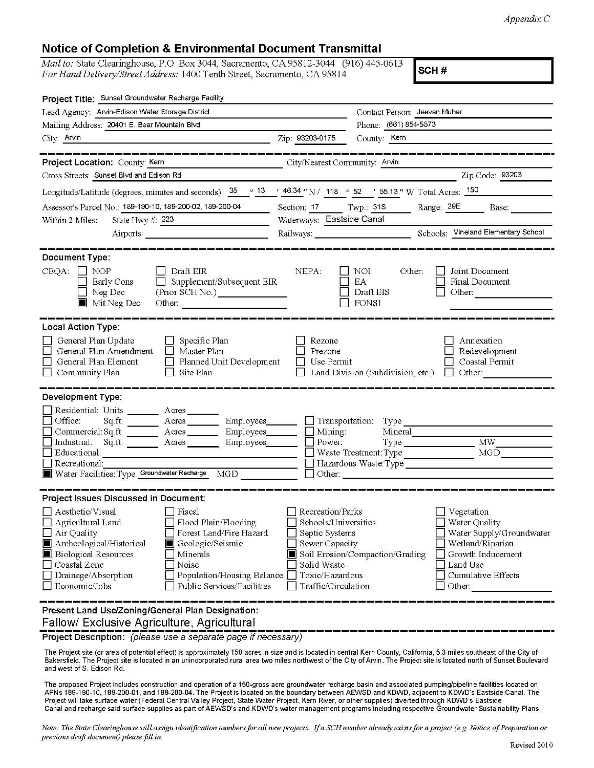## **Notice of Completion & Environmental Document Transmittal**

*Mail to:* State Clearinghouse, P.O. Box 3044, Sacramento, CA 95812-3044 (916) 445-0613 *For Hand Delivery/Street Address:* 1400 Tenth Street, Sacramento, CA 95814

**SCH#** 

| Project Title: Sunset Groundwater Recharge Facility                                                                                                                                                                                                                                                                                                 |                                                                                                                                       |                                                                                                                                                                                                                                                                                                                                                                                                                                                                                                                                                        |  |
|-----------------------------------------------------------------------------------------------------------------------------------------------------------------------------------------------------------------------------------------------------------------------------------------------------------------------------------------------------|---------------------------------------------------------------------------------------------------------------------------------------|--------------------------------------------------------------------------------------------------------------------------------------------------------------------------------------------------------------------------------------------------------------------------------------------------------------------------------------------------------------------------------------------------------------------------------------------------------------------------------------------------------------------------------------------------------|--|
| Lead Agency: Arvin-Edison Water Storage District                                                                                                                                                                                                                                                                                                    |                                                                                                                                       | Contact Person: Jeevan Muhar                                                                                                                                                                                                                                                                                                                                                                                                                                                                                                                           |  |
| Mailing Address: 20401 E. Bear Mountain Blvd                                                                                                                                                                                                                                                                                                        |                                                                                                                                       | Phone: (661) 854-5573                                                                                                                                                                                                                                                                                                                                                                                                                                                                                                                                  |  |
| City: Arvin<br><u> 1989 - Johann Barn, mars and de Branch Barn, mars and de Branch Barn, mars and de Branch Barn, mars and de Br</u>                                                                                                                                                                                                                | Zip: 93203-0175                                                                                                                       | County: Kern                                                                                                                                                                                                                                                                                                                                                                                                                                                                                                                                           |  |
|                                                                                                                                                                                                                                                                                                                                                     |                                                                                                                                       | ن المناسب المناسب المناسب على المناسب المناسب المناسب المناسب المناسب المناسب المناسب                                                                                                                                                                                                                                                                                                                                                                                                                                                                  |  |
| Project Location: County: Kern                                                                                                                                                                                                                                                                                                                      | City/Nearest Community: Arvin                                                                                                         |                                                                                                                                                                                                                                                                                                                                                                                                                                                                                                                                                        |  |
| Cross Streets: Sunset Blvd and Edison Rd                                                                                                                                                                                                                                                                                                            |                                                                                                                                       | Zip Code: 93203                                                                                                                                                                                                                                                                                                                                                                                                                                                                                                                                        |  |
| Longitude/Latitude (degrees, minutes and seconds): $\frac{35}{13}$ $\frac{13}{13}$ $\frac{16.34}{13}$ $\frac{1}{13}$ $\frac{16.34}{13}$ $\frac{16.34}{13}$ $\frac{16.34}{13}$ $\frac{16.34}{13}$ $\frac{16.34}{13}$ $\frac{16.34}{13}$ $\frac{16.34}{13}$ $\frac{16.34}{13}$                                                                        |                                                                                                                                       |                                                                                                                                                                                                                                                                                                                                                                                                                                                                                                                                                        |  |
| Assessor's Parcel No.: 189-190-10, 189-200-02, 189-200-04                                                                                                                                                                                                                                                                                           |                                                                                                                                       | Section: 17 Twp.: 31S Range: 29E Base:                                                                                                                                                                                                                                                                                                                                                                                                                                                                                                                 |  |
| State Hwy #: 223<br>Within 2 Miles:                                                                                                                                                                                                                                                                                                                 | Waterways: Eastside Canal                                                                                                             |                                                                                                                                                                                                                                                                                                                                                                                                                                                                                                                                                        |  |
| Airports:                                                                                                                                                                                                                                                                                                                                           |                                                                                                                                       | Railways: Chools: Vineland Elementary School                                                                                                                                                                                                                                                                                                                                                                                                                                                                                                           |  |
| Document Type:<br>$CEQA: \Box NOP$<br>  Draft EIR<br>$\Box$ Supplement/Subsequent EIR<br>Early Cons<br>Neg Dec<br>Mit Neg Dec<br>Other:                                                                                                                                                                                                             | NEPA:                                                                                                                                 | Other:<br>Joint Document<br>NOI<br>EA<br>Final Document<br>Draft EIS<br>Other:<br>FONSI                                                                                                                                                                                                                                                                                                                                                                                                                                                                |  |
| <b>Local Action Type:</b><br>General Plan Update<br>$\Box$ Specific Plan<br>General Plan Amendment<br>$\Box$ Master Plan<br>General Plan Element<br>Planned Unit Development<br>IO.<br>Community Plan<br>Site Plan<br><b>Development Type:</b>                                                                                                      | Rezone<br>Prezone<br>Use Permit                                                                                                       | Annexation<br>Redevelopment<br>Coastal Permit<br>Land Division (Subdivision, etc.)<br>$\Box$ Other:                                                                                                                                                                                                                                                                                                                                                                                                                                                    |  |
| Residential: Units _______ Acres ______<br>Office:<br>Commercial: Sq.ft. <u>Acres</u> Acres Employees<br>Industrial: Sq.ft. _______ Acres ________ Employees_______<br>Educational:<br>Recreational:<br>Water Facilities: Type Groundwater Recharge MGD                                                                                             | Mining:<br>Power:                                                                                                                     | Mineral<br>Type MW_<br>MGD<br>Waste Treatment: Type<br><u>in the community of the community of the community of the community of the community of the community of the community of the community of the community of the community of the community of the community of the community </u><br>Hazardous Waste: Type<br>Other: We have a state of the state of the state of the state of the state of the state of the state of the state of the state of the state of the state of the state of the state of the state of the state of the state of t |  |
| Project Issues Discussed in Document:                                                                                                                                                                                                                                                                                                               |                                                                                                                                       |                                                                                                                                                                                                                                                                                                                                                                                                                                                                                                                                                        |  |
| Aesthetic/Visual<br>$ $ Fiscal<br>Agricultural Land<br>Flood Plain/Flooding<br>Air Quality<br>Forest Land/Fire Hazard<br>Archeological/Historical<br>Geologic/Seismic<br><b>Biological Resources</b><br>Minerals<br>IЦ<br>Coastal Zone<br>Noise<br>Drainage/Absorption<br>Population/Housing Balance<br>Economic/Jobs<br>Public Services/Facilities | Recreation/Parks<br>Schools/Universities<br>Septic Systems<br>Sewer Capacity<br>Solid Waste<br>Toxic/Hazardous<br>Traffic/Circulation | Vegetation<br>□ Water Quality<br>Water Supply/Groundwater<br>Wetland/Riparian<br>Soil Erosion/Compaction/Grading<br>Growth Inducement<br>Land Use<br>Cumulative Effects<br>Other:                                                                                                                                                                                                                                                                                                                                                                      |  |
| Present Land Use/Zoning/General Plan Designation:<br>Fallow/ Exclusive Agriculture, Agricultural                                                                                                                                                                                                                                                    |                                                                                                                                       |                                                                                                                                                                                                                                                                                                                                                                                                                                                                                                                                                        |  |

**Project Description:** (please use a separate page if necessary)

The Project site (or area of potential effect) is approximately 150 acres in size and is located in central Kern County, California, 5.3 miles southeast of the City of Bakersfield. The Project site is located in an unincorporated rural area two miles northwest of the City of Arvin. The Project site is located north of Sunset Boulevard and west of S. Edison Rd.

The proposed Project includes construction and operation of a 150-gross acre groundwater recharge basin and associated pumping/pipeline facilities located on APNs 189-190-10, 189-200-01 , and 189-200-04. The Project is located on the boundary between AEWSD and KDWD, adjacent to KDWD's Eastside Canal. The Project will take surface water (Federal Central Valley Project, State Water Project, Kern River, or other supplies) diverted through KDWD's Eastside Canal and recharge said surface supplies as part of AEWSD's and KDWD's water management programs including respective Groundwater Sustainability Plans.

*Note: The Staie Clearinghouse will assign identificaiion numbers for all new projects. If a SCH number already exists for a project (e.g. Notice of Preparalion or previous draft document) please fill in.*